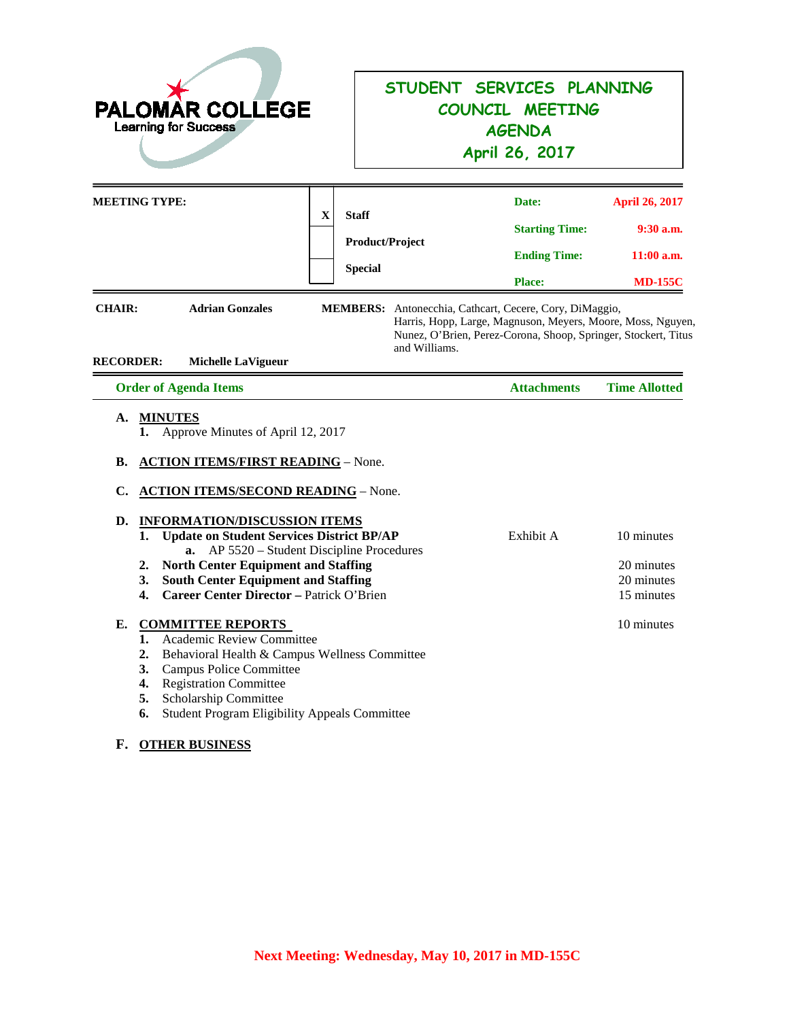| <b>PALOMAR COLLEGE</b><br><b>Learning for Success</b>                                                                                                                                                                                                                                                                                                                                                                                 |                                                                                                                          | STUDENT SERVICES PLANNING<br>COUNCIL MEETING<br><b>AGENDA</b><br>April 26, 2017                                                                                                          |                                                                        |
|---------------------------------------------------------------------------------------------------------------------------------------------------------------------------------------------------------------------------------------------------------------------------------------------------------------------------------------------------------------------------------------------------------------------------------------|--------------------------------------------------------------------------------------------------------------------------|------------------------------------------------------------------------------------------------------------------------------------------------------------------------------------------|------------------------------------------------------------------------|
| <b>MEETING TYPE:</b>                                                                                                                                                                                                                                                                                                                                                                                                                  | $\mathbf X$<br><b>Staff</b><br>Product/Project<br><b>Special</b>                                                         | Date:<br><b>Starting Time:</b><br><b>Ending Time:</b><br><b>Place:</b>                                                                                                                   | <b>April 26, 2017</b><br>$9:30$ a.m.<br>$11:00$ a.m.<br><b>MD-155C</b> |
| <b>CHAIR:</b><br><b>Adrian Gonzales</b><br><b>RECORDER:</b><br><b>Michelle LaVigueur</b>                                                                                                                                                                                                                                                                                                                                              | and Williams.                                                                                                            | MEMBERS: Antonecchia, Cathcart, Cecere, Cory, DiMaggio,<br>Harris, Hopp, Large, Magnuson, Meyers, Moore, Moss, Nguyen,<br>Nunez, O'Brien, Perez-Corona, Shoop, Springer, Stockert, Titus |                                                                        |
| <b>Order of Agenda Items</b><br>A.                                                                                                                                                                                                                                                                                                                                                                                                    |                                                                                                                          | <b>Attachments</b>                                                                                                                                                                       | <b>Time Allotted</b>                                                   |
| <b>MINUTES</b><br>Approve Minutes of April 12, 2017<br><b>ACTION ITEMS/FIRST READING - None.</b><br>В.<br><b>ACTION ITEMS/SECOND READING - None.</b><br>C.<br>D.<br><b>INFORMATION/DISCUSSION ITEMS</b><br>1.<br>$a_{\cdot}$<br><b>North Center Equipment and Staffing</b><br>2.<br><b>South Center Equipment and Staffing</b><br>3.<br><b>Career Center Director - Patrick O'Brien</b><br>4.<br><b>COMMITTEE REPORTS</b><br>Е.<br>1. | <b>Update on Student Services District BP/AP</b><br>AP 5520 – Student Discipline Procedures<br>Academic Review Committee | Exhibit A                                                                                                                                                                                | 10 minutes<br>20 minutes<br>20 minutes<br>15 minutes<br>10 minutes     |

### **F. OTHER BUSINESS**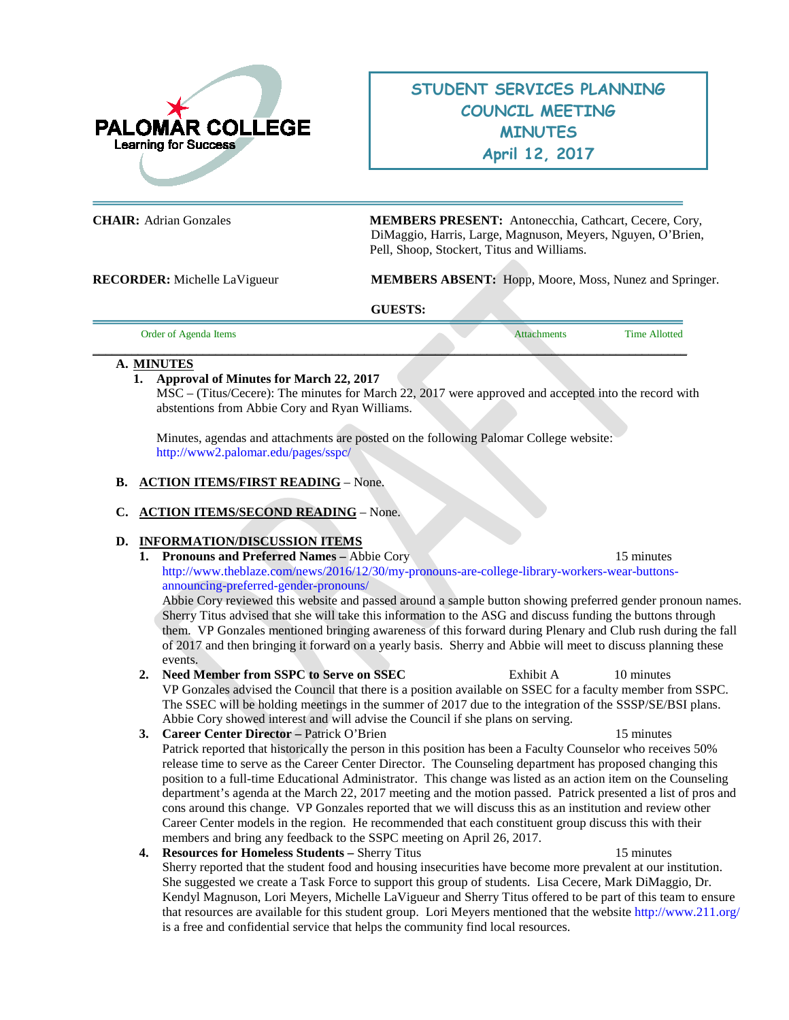

# **STUDENT SERVICES PLANNING COUNCIL MEETING MINUTES April 12, 2017**

**CHAIR:** Adrian Gonzales **MEMBERS PRESENT:** Antonecchia, Cathcart, Cecere, Cory, DiMaggio, Harris, Large, Magnuson, Meyers, Nguyen, O'Brien, Pell, Shoop, Stockert, Titus and Williams.

**RECORDER:** Michelle LaVigueur **MEMBERS ABSENT:** Hopp, Moore, Moss, Nunez and Springer.

**GUESTS:** 

| Order of Agenda Items |  | Attachments | <b>Time Allotted</b> |
|-----------------------|--|-------------|----------------------|
|                       |  |             |                      |

#### **A. MINUTES**

#### **1. Approval of Minutes for March 22, 2017**

MSC – (Titus/Cecere): The minutes for March 22, 2017 were approved and accepted into the record with abstentions from Abbie Cory and Ryan Williams.

Minutes, agendas and attachments are posted on the following Palomar College website: <http://www2.palomar.edu/pages/sspc/>

#### **B. ACTION ITEMS/FIRST READING** – None.

**C. ACTION ITEMS/SECOND READING** – None.

#### **D. INFORMATION/DISCUSSION ITEMS**

**1. Pronouns and Preferred Names –** Abbie Cory 15 minutes [http://www.theblaze.com/news/2016/12/30/my-pronouns-are-college-library-workers-wear-buttons](http://www.theblaze.com/news/2016/12/30/my-pronouns-are-college-library-workers-wear-buttons-announcing-preferred-gender-pronouns/)[announcing-preferred-gender-pronouns/](http://www.theblaze.com/news/2016/12/30/my-pronouns-are-college-library-workers-wear-buttons-announcing-preferred-gender-pronouns/)

Abbie Cory reviewed this website and passed around a sample button showing preferred gender pronoun names. Sherry Titus advised that she will take this information to the ASG and discuss funding the buttons through them. VP Gonzales mentioned bringing awareness of this forward during Plenary and Club rush during the fall of 2017 and then bringing it forward on a yearly basis. Sherry and Abbie will meet to discuss planning these events.

- **2. Need Member from SSPC to Serve on SSEC** Exhibit A 10 minutes VP Gonzales advised the Council that there is a position available on SSEC for a faculty member from SSPC. The SSEC will be holding meetings in the summer of 2017 due to the integration of the SSSP/SE/BSI plans. Abbie Cory showed interest and will advise the Council if she plans on serving.
- **3. Career Center Director –** Patrick O'Brien15 minutes Patrick reported that historically the person in this position has been a Faculty Counselor who receives 50% release time to serve as the Career Center Director. The Counseling department has proposed changing this position to a full-time Educational Administrator. This change was listed as an action item on the Counseling department's agenda at the March 22, 2017 meeting and the motion passed. Patrick presented a list of pros and cons around this change. VP Gonzales reported that we will discuss this as an institution and review other Career Center models in the region. He recommended that each constituent group discuss this with their members and bring any feedback to the SSPC meeting on April 26, 2017.
- **4. Resources for Homeless Students –** Sherry Titus 15 minutes Sherry reported that the student food and housing insecurities have become more prevalent at our institution. She suggested we create a Task Force to support this group of students. Lisa Cecere, Mark DiMaggio, Dr. Kendyl Magnuson, Lori Meyers, Michelle LaVigueur and Sherry Titus offered to be part of this team to ensure that resources are available for this student group. Lori Meyers mentioned that the websit[e http://www.211.org/](http://www.211.org/) is a free and confidential service that helps the community find local resources.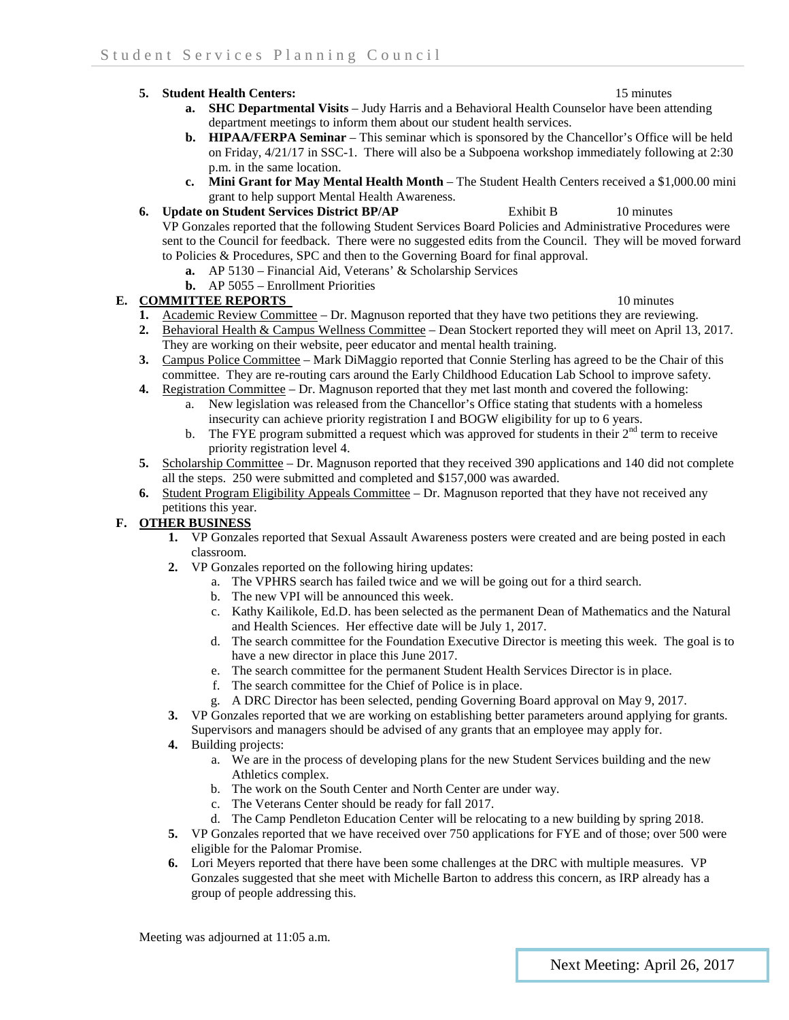#### **5. Student Health Centers:** 15 minutes

- **a. SHC Departmental Visits** Judy Harris and a Behavioral Health Counselor have been attending department meetings to inform them about our student health services.
- **b. HIPAA/FERPA Seminar**  This seminar which is sponsored by the Chancellor's Office will be held on Friday, 4/21/17 in SSC-1. There will also be a Subpoena workshop immediately following at 2:30 p.m. in the same location.
- **c. Mini Grant for May Mental Health Month** The Student Health Centers received a \$1,000.00 mini grant to help support Mental Health Awareness.

## **6. Update on Student Services District BP/AP** Exhibit B 10 minutes

VP Gonzales reported that the following Student Services Board Policies and Administrative Procedures were sent to the Council for feedback. There were no suggested edits from the Council. They will be moved forward to Policies & Procedures, SPC and then to the Governing Board for final approval.

- **a.** AP 5130 Financial Aid, Veterans' & Scholarship Services
- **b.** AP 5055 Enrollment Priorities

#### **E. COMMITTEE REPORTS** 10 minutes

- **1.** Academic Review Committee Dr. Magnuson reported that they have two petitions they are reviewing.
- **2.** Behavioral Health & Campus Wellness Committee Dean Stockert reported they will meet on April 13, 2017. They are working on their website, peer educator and mental health training.
- **3.** Campus Police Committee Mark DiMaggio reported that Connie Sterling has agreed to be the Chair of this committee. They are re-routing cars around the Early Childhood Education Lab School to improve safety.
- **4.** Registration Committee Dr. Magnuson reported that they met last month and covered the following:
	- a. New legislation was released from the Chancellor's Office stating that students with a homeless insecurity can achieve priority registration I and BOGW eligibility for up to 6 years.
	- b. The FYE program submitted a request which was approved for students in their  $2<sup>nd</sup>$  term to receive priority registration level 4.
- **5.** Scholarship Committee Dr. Magnuson reported that they received 390 applications and 140 did not complete all the steps. 250 were submitted and completed and \$157,000 was awarded.
- **6.** Student Program Eligibility Appeals Committee Dr. Magnuson reported that they have not received any petitions this year.

#### **F. OTHER BUSINESS**

- **1.** VP Gonzales reported that Sexual Assault Awareness posters were created and are being posted in each classroom.
- **2.** VP Gonzales reported on the following hiring updates:
	- a. The VPHRS search has failed twice and we will be going out for a third search.
	- b. The new VPI will be announced this week.
	- c. Kathy Kailikole, Ed.D. has been selected as the permanent Dean of Mathematics and the Natural and Health Sciences. Her effective date will be July 1, 2017.
	- d. The search committee for the Foundation Executive Director is meeting this week. The goal is to have a new director in place this June 2017.
	- e. The search committee for the permanent Student Health Services Director is in place.
	- f. The search committee for the Chief of Police is in place.
	- g. A DRC Director has been selected, pending Governing Board approval on May 9, 2017.
- **3.** VP Gonzales reported that we are working on establishing better parameters around applying for grants. Supervisors and managers should be advised of any grants that an employee may apply for.
- **4.** Building projects:
	- a. We are in the process of developing plans for the new Student Services building and the new Athletics complex.
	- b. The work on the South Center and North Center are under way.
	- c. The Veterans Center should be ready for fall 2017.
	- d. The Camp Pendleton Education Center will be relocating to a new building by spring 2018.
- **5.** VP Gonzales reported that we have received over 750 applications for FYE and of those; over 500 were eligible for the Palomar Promise.
- **6.** Lori Meyers reported that there have been some challenges at the DRC with multiple measures. VP Gonzales suggested that she meet with Michelle Barton to address this concern, as IRP already has a group of people addressing this.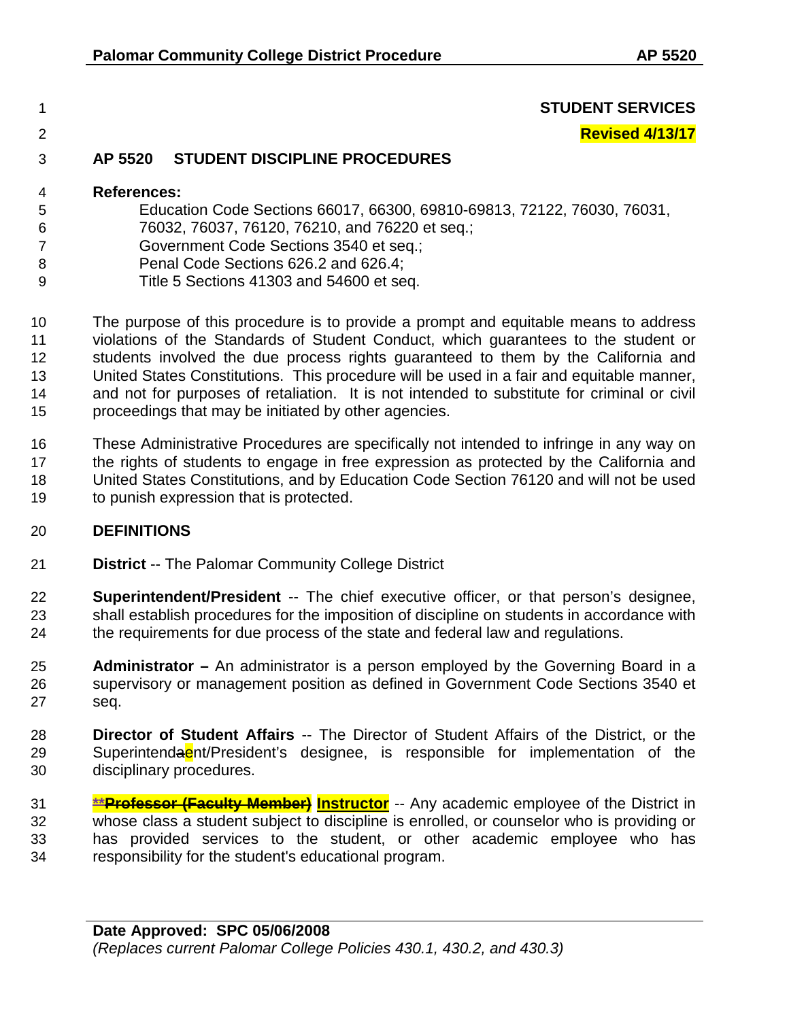### **STUDENT SERVICES**

**Revised 4/13/17**

## **AP 5520 STUDENT DISCIPLINE PROCEDURES**

### **References:**

- Education Code Sections 66017, 66300, 69810-69813, 72122, 76030, 76031, 76032, 76037, 76120, 76210, and 76220 et seq.;
- Government Code Sections 3540 et seq.;
- Penal Code Sections 626.2 and 626.4;
- Title 5 Sections 41303 and 54600 et seq.

 The purpose of this procedure is to provide a prompt and equitable means to address violations of the Standards of Student Conduct, which guarantees to the student or students involved the due process rights guaranteed to them by the California and United States Constitutions. This procedure will be used in a fair and equitable manner, and not for purposes of retaliation. It is not intended to substitute for criminal or civil proceedings that may be initiated by other agencies.

 These Administrative Procedures are specifically not intended to infringe in any way on the rights of students to engage in free expression as protected by the California and United States Constitutions, and by Education Code Section 76120 and will not be used to punish expression that is protected.

### **DEFINITIONS**

- **District** -- The Palomar Community College District
- **Superintendent/President** -- The chief executive officer, or that person's designee, shall establish procedures for the imposition of discipline on students in accordance with the requirements for due process of the state and federal law and regulations.
- **Administrator –** An administrator is a person employed by the Governing Board in a supervisory or management position as defined in Government Code Sections 3540 et seq.
- **Director of Student Affairs** -- The Director of Student Affairs of the District, or the 29 Superintendaent/President's designee, is responsible for implementation of the disciplinary procedures.
- **\*\*Professor (Faculty Member) Instructor** -- Any academic employee of the District in whose class a student subject to discipline is enrolled, or counselor who is providing or has provided services to the student, or other academic employee who has responsibility for the student's educational program.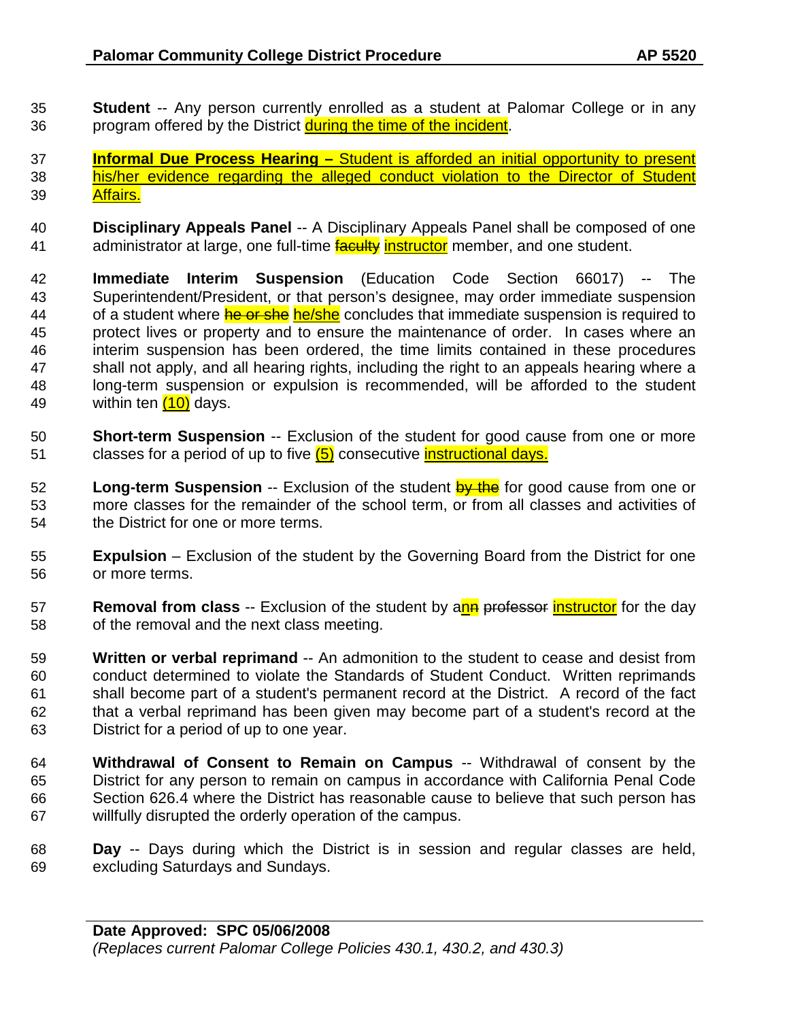- **Student** -- Any person currently enrolled as a student at Palomar College or in any 36 program offered by the District during the time of the incident.
- **Informal Due Process Hearing –** Student is afforded an initial opportunity to present his/her evidence regarding the alleged conduct violation to the Director of Student Affairs.
- **Disciplinary Appeals Panel** -- A Disciplinary Appeals Panel shall be composed of one 41 administrator at large, one full-time **faculty instructor** member, and one student.
- **Immediate Interim Suspension** (Education Code Section 66017) -- The Superintendent/President, or that person's designee, may order immediate suspension 44 of a student where **he or she** he/she concludes that immediate suspension is required to protect lives or property and to ensure the maintenance of order. In cases where an interim suspension has been ordered, the time limits contained in these procedures shall not apply, and all hearing rights, including the right to an appeals hearing where a long-term suspension or expulsion is recommended, will be afforded to the student 49 within ten  $(10)$  days.
- **Short-term Suspension** -- Exclusion of the student for good cause from one or more 51 classes for a period of up to five (5) consecutive instructional days.
- **Long-term Suspension** -- Exclusion of the student by the for good cause from one or more classes for the remainder of the school term, or from all classes and activities of the District for one or more terms.
- **Expulsion** Exclusion of the student by the Governing Board from the District for one or more terms.
- **Removal from class** -- Exclusion of the student by ann professor instructor for the day of the removal and the next class meeting.
- **Written or verbal reprimand** -- An admonition to the student to cease and desist from conduct determined to violate the Standards of Student Conduct. Written reprimands shall become part of a student's permanent record at the District. A record of the fact that a verbal reprimand has been given may become part of a student's record at the District for a period of up to one year.
- **Withdrawal of Consent to Remain on Campus** -- Withdrawal of consent by the District for any person to remain on campus in accordance with California Penal Code Section 626.4 where the District has reasonable cause to believe that such person has willfully disrupted the orderly operation of the campus.
- **Day** -- Days during which the District is in session and regular classes are held, excluding Saturdays and Sundays.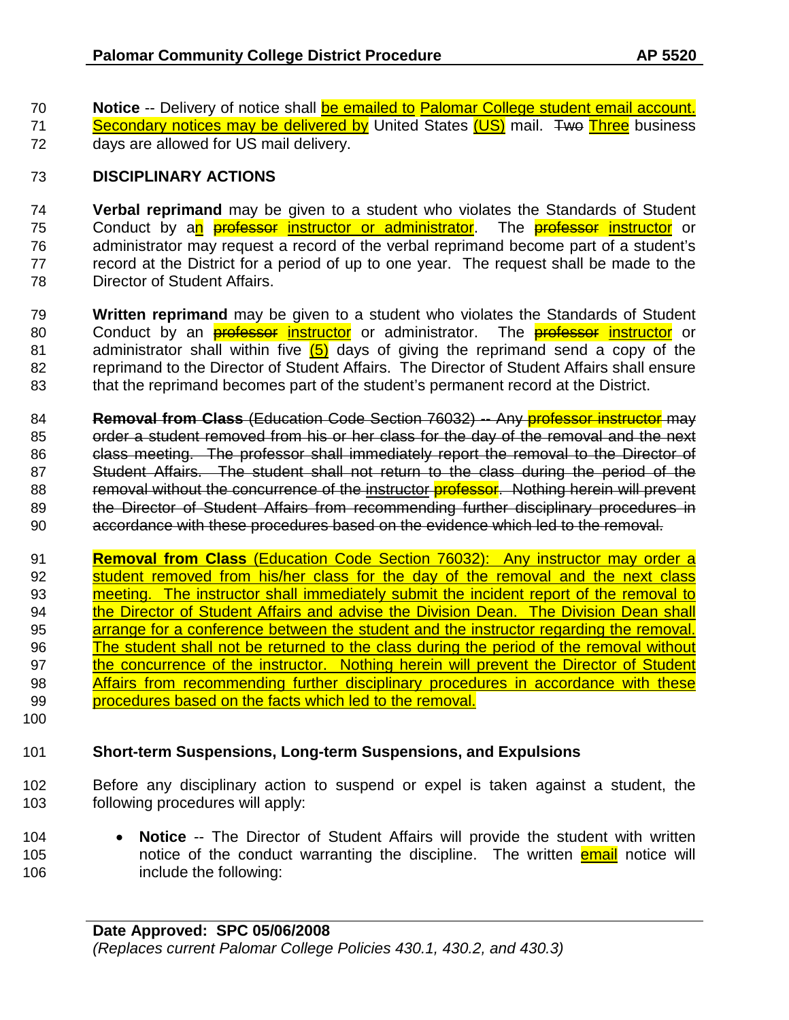70 **Notice** -- Delivery of notice shall be emailed to Palomar College student email account. 71 Secondary notices may be delivered by United States (US) mail. Two Three business 72 days are allowed for US mail delivery.

## 73 **DISCIPLINARY ACTIONS**

74 **Verbal reprimand** may be given to a student who violates the Standards of Student 75 Conduct by an *professor instructor or administrator*. The **professor instructor** or 76 administrator may request a record of the verbal reprimand become part of a student's 77 record at the District for a period of up to one year. The request shall be made to the 78 Director of Student Affairs.

79 **Written reprimand** may be given to a student who violates the Standards of Student 80 Conduct by an **professor instructor** or administrator. The **professor instructor** or 81 administrator shall within five  $(5)$  days of giving the reprimand send a copy of the 82 reprimand to the Director of Student Affairs. The Director of Student Affairs shall ensure 83 that the reprimand becomes part of the student's permanent record at the District.

84 **Removal from Class** (Education Code Section 76032) -- Any professor instructor may 85 order a student removed from his or her class for the day of the removal and the next 86 class meeting. The professor shall immediately report the removal to the Director of 87 Student Affairs. The student shall not return to the class during the period of the 88 removal without the concurrence of the instructor **professor.** Nothing herein will prevent 89 the Director of Student Affairs from recommending further disciplinary procedures in 90 accordance with these procedures based on the evidence which led to the removal.

91 **Removal from Class** (Education Code Section 76032): Any instructor may order a 92 student removed from his/her class for the day of the removal and the next class 93 meeting. The instructor shall immediately submit the incident report of the removal to 94 the Director of Student Affairs and advise the Division Dean. The Division Dean shall 95 arrange for a conference between the student and the instructor regarding the removal. 96 The student shall not be returned to the class during the period of the removal without 97 the concurrence of the instructor. Nothing herein will prevent the Director of Student 98 Affairs from recommending further disciplinary procedures in accordance with these 99 procedures based on the facts which led to the removal.

100

## 101 **Short-term Suspensions, Long-term Suspensions, and Expulsions**

102 Before any disciplinary action to suspend or expel is taken against a student, the 103 following procedures will apply:

104 • **Notice** -- The Director of Student Affairs will provide the student with written 105 hotice of the conduct warranting the discipline. The written **email** notice will 106 include the following: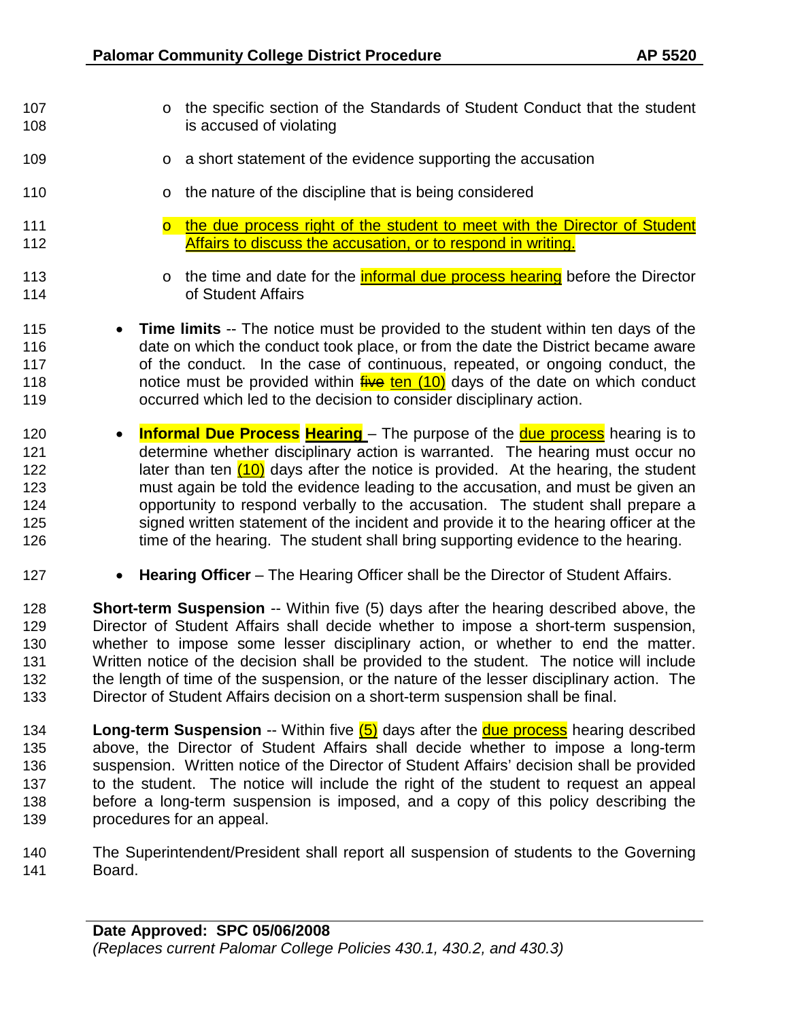- 107 o the specific section of the Standards of Student Conduct that the student 108 is accused of violating
- **109** o a short statement of the evidence supporting the accusation
- **b 110** o the nature of the discipline that is being considered
- **o** the due process right of the student to meet with the Director of Student 112 Affairs to discuss the accusation, or to respond in writing.
- 113 o the time and date for the **informal due process hearing** before the Director<br>114 **of Student Affairs** of Student Affairs
- **Time limits** -- The notice must be provided to the student within ten days of the date on which the conduct took place, or from the date the District became aware of the conduct. In the case of continuous, repeated, or ongoing conduct, the **notice must be provided within five ten (10)** days of the date on which conduct occurred which led to the decision to consider disciplinary action.
- **Informal Due Process Hearing** The purpose of the due process hearing is to determine whether disciplinary action is warranted. The hearing must occur no 122 later than ten (10) days after the notice is provided. At the hearing, the student must again be told the evidence leading to the accusation, and must be given an opportunity to respond verbally to the accusation. The student shall prepare a signed written statement of the incident and provide it to the hearing officer at the 126 time of the hearing. The student shall bring supporting evidence to the hearing.
- **Hearing Officer** The Hearing Officer shall be the Director of Student Affairs.
- **Short-term Suspension** -- Within five (5) days after the hearing described above, the<br>129 **Short-term of Student Affairs shall decide whether to impose a short-term suspension.** Director of Student Affairs shall decide whether to impose a short-term suspension, whether to impose some lesser disciplinary action, or whether to end the matter. Written notice of the decision shall be provided to the student. The notice will include the length of time of the suspension, or the nature of the lesser disciplinary action. The Director of Student Affairs decision on a short-term suspension shall be final.
- **Long-term Suspension** -- Within five (5) days after the due process hearing described above, the Director of Student Affairs shall decide whether to impose a long-term suspension. Written notice of the Director of Student Affairs' decision shall be provided to the student. The notice will include the right of the student to request an appeal before a long-term suspension is imposed, and a copy of this policy describing the procedures for an appeal.
- The Superintendent/President shall report all suspension of students to the Governing Board.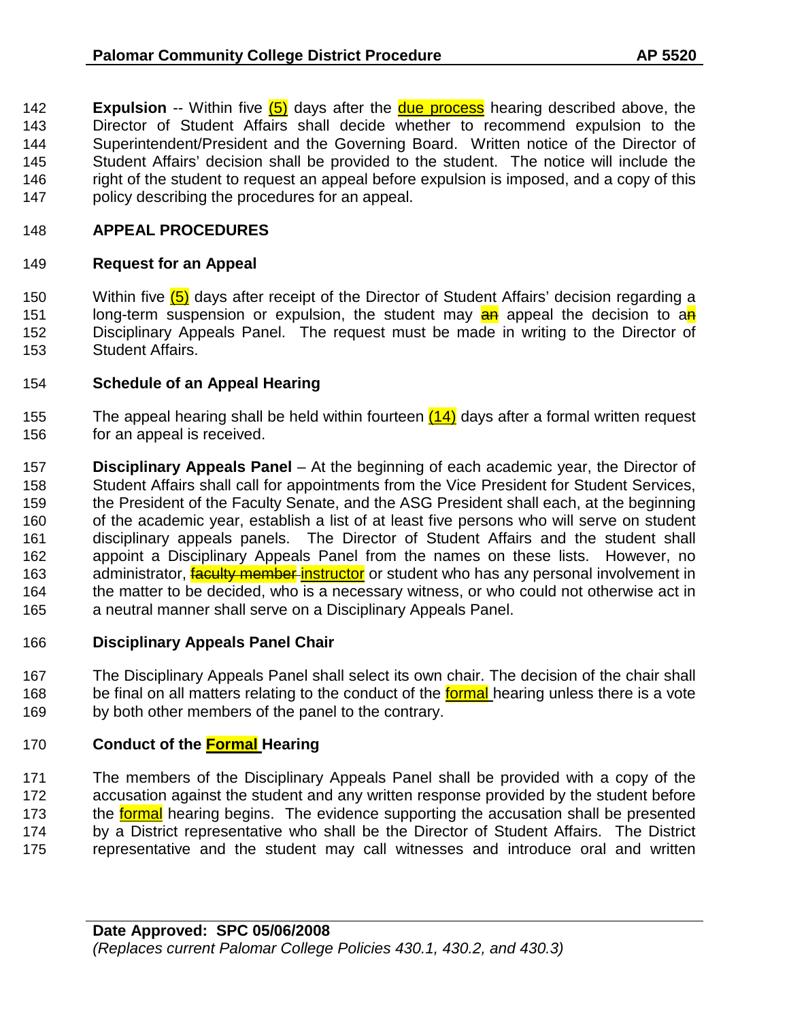**Expulsion** -- Within five (5) days after the due process hearing described above, the Director of Student Affairs shall decide whether to recommend expulsion to the Superintendent/President and the Governing Board. Written notice of the Director of Student Affairs' decision shall be provided to the student. The notice will include the 146 right of the student to request an appeal before expulsion is imposed, and a copy of this policy describing the procedures for an appeal.

## **APPEAL PROCEDURES**

### **Request for an Appeal**

150 Within five (5) days after receipt of the Director of Student Affairs' decision regarding a 151 long-term suspension or expulsion, the student may **an** appeal the decision to an Disciplinary Appeals Panel. The request must be made in writing to the Director of Student Affairs.

### **Schedule of an Appeal Hearing**

- 155 The appeal hearing shall be held within fourteen  $(14)$  days after a formal written request for an appeal is received.
- **Disciplinary Appeals Panel** At the beginning of each academic year, the Director of Student Affairs shall call for appointments from the Vice President for Student Services, the President of the Faculty Senate, and the ASG President shall each, at the beginning of the academic year, establish a list of at least five persons who will serve on student disciplinary appeals panels. The Director of Student Affairs and the student shall appoint a Disciplinary Appeals Panel from the names on these lists. However, no 163 administrator, **faculty member instructor** or student who has any personal involvement in the matter to be decided, who is a necessary witness, or who could not otherwise act in a neutral manner shall serve on a Disciplinary Appeals Panel.

### **Disciplinary Appeals Panel Chair**

 The Disciplinary Appeals Panel shall select its own chair. The decision of the chair shall 168 be final on all matters relating to the conduct of the **formal** hearing unless there is a vote by both other members of the panel to the contrary.

### **Conduct of the Formal Hearing**

 The members of the Disciplinary Appeals Panel shall be provided with a copy of the accusation against the student and any written response provided by the student before 173 the formal hearing begins. The evidence supporting the accusation shall be presented by a District representative who shall be the Director of Student Affairs. The District representative and the student may call witnesses and introduce oral and written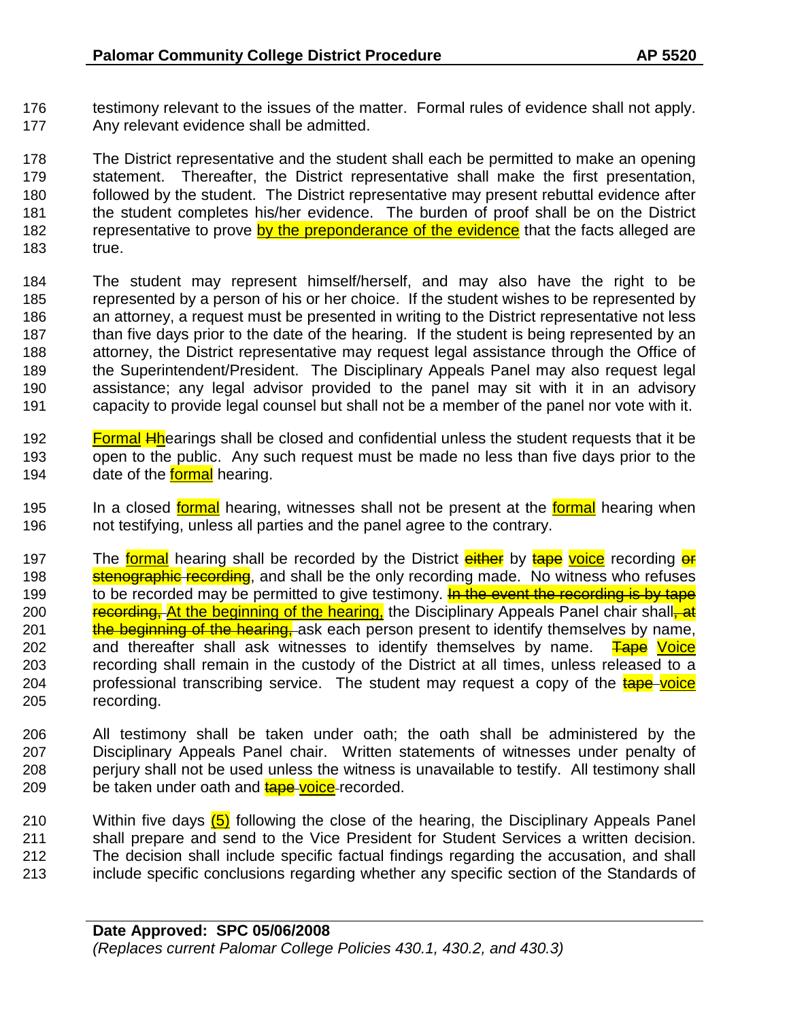176 testimony relevant to the issues of the matter. Formal rules of evidence shall not apply. 177 Any relevant evidence shall be admitted.

 The District representative and the student shall each be permitted to make an opening statement. Thereafter, the District representative shall make the first presentation, followed by the student. The District representative may present rebuttal evidence after the student completes his/her evidence. The burden of proof shall be on the District 182 representative to prove by the preponderance of the evidence that the facts alleged are 183 true.

- 184 The student may represent himself/herself, and may also have the right to be 185 represented by a person of his or her choice. If the student wishes to be represented by 186 an attorney, a request must be presented in writing to the District representative not less 187 than five days prior to the date of the hearing. If the student is being represented by an 188 attorney, the District representative may request legal assistance through the Office of 189 the Superintendent/President. The Disciplinary Appeals Panel may also request legal 190 assistance; any legal advisor provided to the panel may sit with it in an advisory 191 capacity to provide legal counsel but shall not be a member of the panel nor vote with it.
- 192 **Formal Hhearings shall be closed and confidential unless the student requests that it be** 193 open to the public. Any such request must be made no less than five days prior to the 194 date of the **formal** hearing.
- 195 In a closed formal hearing, witnesses shall not be present at the formal hearing when 196 not testifying, unless all parties and the panel agree to the contrary.
- 197 The formal hearing shall be recorded by the District either by tape voice recording or 198 stenographic recording, and shall be the only recording made. No witness who refuses 199 to be recorded may be permitted to give testimony. **In the event the recording is by tape** 200 recording, At the beginning of the hearing, the Disciplinary Appeals Panel chair shall, at 201 the beginning of the hearing, ask each person present to identify themselves by name, 202 and thereafter shall ask witnesses to identify themselves by name.  $\frac{1}{2}$  Voice 203 recording shall remain in the custody of the District at all times, unless released to a 204 professional transcribing service. The student may request a copy of the tape voice 205 recording.
- 206 All testimony shall be taken under oath; the oath shall be administered by the 207 Disciplinary Appeals Panel chair. Written statements of witnesses under penalty of 208 perjury shall not be used unless the witness is unavailable to testify. All testimony shall 209 be taken under oath and **tape voice** recorded.
- 210 Within five days  $(5)$  following the close of the hearing, the Disciplinary Appeals Panel 211 shall prepare and send to the Vice President for Student Services a written decision. 212 The decision shall include specific factual findings regarding the accusation, and shall 213 include specific conclusions regarding whether any specific section of the Standards of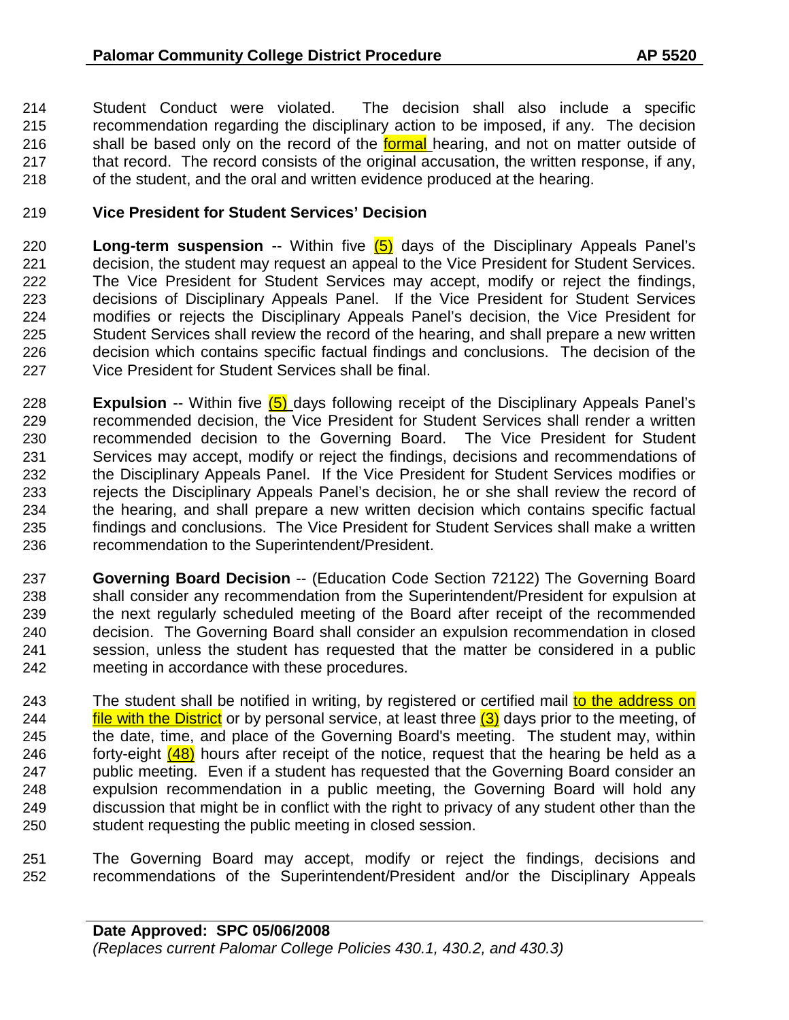Student Conduct were violated. The decision shall also include a specific recommendation regarding the disciplinary action to be imposed, if any. The decision 216 shall be based only on the record of the **formal** hearing, and not on matter outside of that record. The record consists of the original accusation, the written response, if any, of the student, and the oral and written evidence produced at the hearing.

## **Vice President for Student Services' Decision**

- **Long-term suspension** -- Within five (5) days of the Disciplinary Appeals Panel's decision, the student may request an appeal to the Vice President for Student Services. The Vice President for Student Services may accept, modify or reject the findings, decisions of Disciplinary Appeals Panel. If the Vice President for Student Services modifies or rejects the Disciplinary Appeals Panel's decision, the Vice President for Student Services shall review the record of the hearing, and shall prepare a new written decision which contains specific factual findings and conclusions. The decision of the Vice President for Student Services shall be final.
- **Expulsion** -- Within five (5) days following receipt of the Disciplinary Appeals Panel's recommended decision, the Vice President for Student Services shall render a written recommended decision to the Governing Board. The Vice President for Student Services may accept, modify or reject the findings, decisions and recommendations of the Disciplinary Appeals Panel. If the Vice President for Student Services modifies or rejects the Disciplinary Appeals Panel's decision, he or she shall review the record of the hearing, and shall prepare a new written decision which contains specific factual findings and conclusions. The Vice President for Student Services shall make a written recommendation to the Superintendent/President.
- **Governing Board Decision** -- (Education Code Section 72122) The Governing Board shall consider any recommendation from the Superintendent/President for expulsion at the next regularly scheduled meeting of the Board after receipt of the recommended decision. The Governing Board shall consider an expulsion recommendation in closed session, unless the student has requested that the matter be considered in a public meeting in accordance with these procedures.
- 243 The student shall be notified in writing, by registered or certified mail to the address on 244 **file with the District** or by personal service, at least three  $(3)$  days prior to the meeting, of the date, time, and place of the Governing Board's meeting. The student may, within 246 forty-eight  $(48)$  hours after receipt of the notice, request that the hearing be held as a public meeting. Even if a student has requested that the Governing Board consider an expulsion recommendation in a public meeting, the Governing Board will hold any discussion that might be in conflict with the right to privacy of any student other than the student requesting the public meeting in closed session.
- The Governing Board may accept, modify or reject the findings, decisions and recommendations of the Superintendent/President and/or the Disciplinary Appeals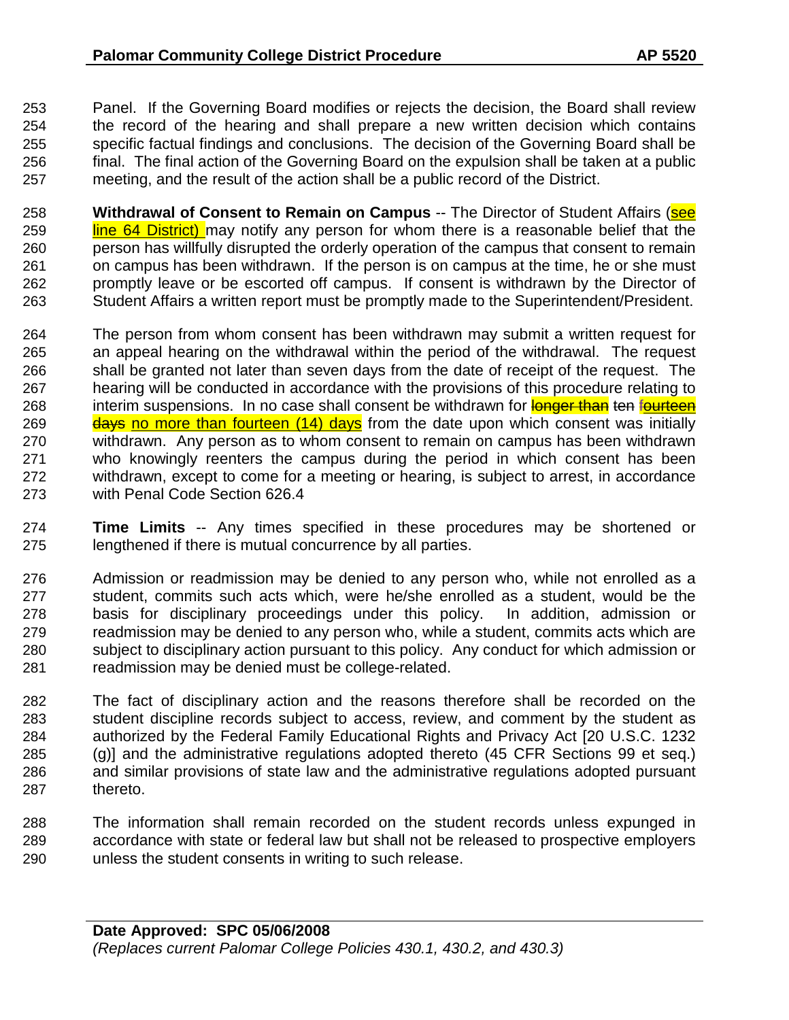Panel. If the Governing Board modifies or rejects the decision, the Board shall review the record of the hearing and shall prepare a new written decision which contains specific factual findings and conclusions. The decision of the Governing Board shall be final. The final action of the Governing Board on the expulsion shall be taken at a public meeting, and the result of the action shall be a public record of the District.

 **Withdrawal of Consent to Remain on Campus** -- The Director of Student Affairs (see **line 64 District)** may notify any person for whom there is a reasonable belief that the person has willfully disrupted the orderly operation of the campus that consent to remain on campus has been withdrawn. If the person is on campus at the time, he or she must promptly leave or be escorted off campus. If consent is withdrawn by the Director of Student Affairs a written report must be promptly made to the Superintendent/President.

- The person from whom consent has been withdrawn may submit a written request for an appeal hearing on the withdrawal within the period of the withdrawal. The request shall be granted not later than seven days from the date of receipt of the request. The hearing will be conducted in accordance with the provisions of this procedure relating to 268 interim suspensions. In no case shall consent be withdrawn for longer than ten fourteen 269 days no more than fourteen (14) days from the date upon which consent was initially withdrawn. Any person as to whom consent to remain on campus has been withdrawn who knowingly reenters the campus during the period in which consent has been withdrawn, except to come for a meeting or hearing, is subject to arrest, in accordance with Penal Code Section 626.4
- **Time Limits** -- Any times specified in these procedures may be shortened or lengthened if there is mutual concurrence by all parties.
- Admission or readmission may be denied to any person who, while not enrolled as a student, commits such acts which, were he/she enrolled as a student, would be the basis for disciplinary proceedings under this policy. In addition, admission or readmission may be denied to any person who, while a student, commits acts which are subject to disciplinary action pursuant to this policy. Any conduct for which admission or readmission may be denied must be college-related.
- The fact of disciplinary action and the reasons therefore shall be recorded on the student discipline records subject to access, review, and comment by the student as authorized by the Federal Family Educational Rights and Privacy Act [20 U.S.C. 1232 (g)] and the administrative regulations adopted thereto (45 CFR Sections 99 et seq.) and similar provisions of state law and the administrative regulations adopted pursuant thereto.
- The information shall remain recorded on the student records unless expunged in accordance with state or federal law but shall not be released to prospective employers unless the student consents in writing to such release.